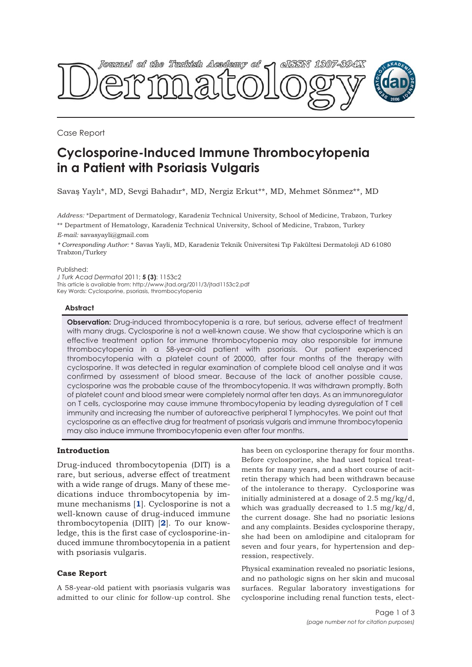

Case Report

# **Cyclosporine-Induced Immune Thrombocytopenia in a Patient with Psoriasis Vulgaris**

Savaş Yaylı\*, MD, Sevgi Bahadır\*, MD, Nergiz Erkut\*\*, MD, Mehmet Sönmez\*\*, MD

*Address:* \*Department of Dermatology, Karadeniz Technical University, School of Medicine, Trabzon, Turkey \*\* Department of Hematology, Karadeniz Technical University, School of Medicine, Trabzon, Turkey

*E-mail:* savasyayli@gmail.com

*\* Corresponding Author:* \* Savas Yayli, MD, Karadeniz Teknik Üniversitesi Tıp Fakültesi Dermatoloji AD 61080 Trabzon/Turkey

Published:

*J Turk Acad Dermatol* 2011; **5 (3)**: 1153c2 This article is available from: http://www.jtad.org/2011/3/jtad1153c2.pdf Key Words: Cyclosporine, psoriasis, thrombocytopenia

## **Abstract**

**Observation:** Drug-induced thrombocytopenia is a rare, but serious, adverse effect of treatment with many drugs. Cyclosporine is not a well-known cause. We show that cyclosporine which is an effective treatment option for immune thrombocytopenia may also responsible for immune thrombocytopenia in a 58-year-old patient with psoriasis. Our patient experienced thrombocytopenia with a platelet count of 20000, after four months of the therapy with cyclosporine. It was detected in regular examination of complete blood cell analyse and it was confirmed by assessment of blood smear. Because of the lack of another possible cause, cyclosporine was the probable cause of the thrombocytopenia. It was withdrawn promptly. Both of platelet count and blood smear were completely normal after ten days. As an immunoregulator on T cells, cyclosporine may cause immune thrombocytopenia by leading dysregulation of T cell immunity and increasing the number of autoreactive peripheral T lymphocytes. We point out that cyclosporine as an effective drug for treatment of psoriasis vulgaris and immune thrombocytopenia may also induce immune thrombocytopenia even after four months.

## **Introduction**

Drug-induced thrombocytopenia (DIT) is a rare, but serious, adverse effect of treatment with a wide range of drugs. Many of these medications induce thrombocytopenia by immune mechanisms [**1**]. Cyclosporine is not a well-known cause of drug-induced immune thrombocytopenia (DIIT) [**2**]. To our knowledge, this is the first case of cyclosporine-induced immune thrombocytopenia in a patient with psoriasis vulgaris.

## **Case Report**

A 58-year-old patient with psoriasis vulgaris was admitted to our clinic for follow-up control. She

has been on cyclosporine therapy for four months. Before cyclosporine, she had used topical treatments for many years, and a short course of acitretin therapy which had been withdrawn because of the intolerance to therapy. Cyclosporine was initially administered at a dosage of 2.5 mg/kg/d, which was gradually decreased to 1.5 mg/kg/d, the current dosage. She had no psoriatic lesions and any complaints. Besides cyclosporine therapy, she had been on amlodipine and citalopram for seven and four years, for hypertension and depression, respectively.

Physical examination revealed no psoriatic lesions, and no pathologic signs on her skin and mucosal surfaces. Regular laboratory investigations for cyclosporine including renal function tests, elect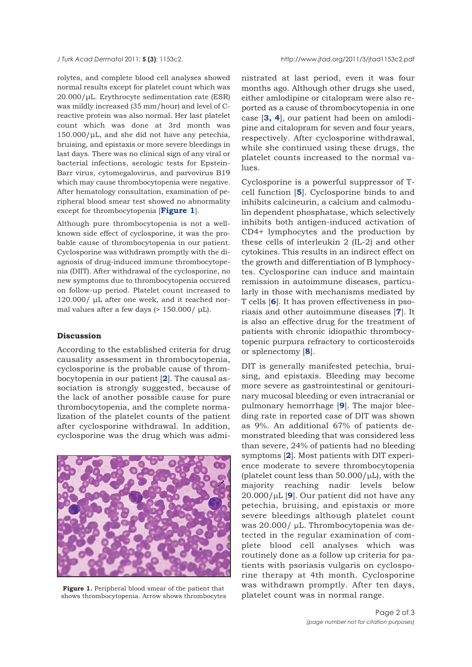rolytes, and complete blood cell analyses showed normal results except for platelet count which was 20.000/μL. Erythrocyte sedimentation rate (ESR) was mildly increased (35 mm/hour) and level of Creactive protein was also normal. Her last platelet count which was done at 3rd month was  $150.000/\mu L$ , and she did not have any petechia, bruising, and epistaxis or more severe bleedings in last days. There was no clinical sign of any viral or bacterial infections, serologic tests for Epstein-Barr virus, cytomegalovirus, and parvovirus B19 which may cause thrombocytopenia were negative. After hematology consultation, examination of peripheral blood smear test showed no abnormality except for thrombocytopenia [**Figure 1**].

Although pure thrombocytopenia is not a wellknown side effect of cyclosporine, it was the probable cause of thrombocytopenia in our patient. Cyclosporine was withdrawn promptly with the diagnosis of drug-induced immune thrombocytopenia (DIIT). After withdrawal of the cyclosporine, no new symptoms due to thrombocytopenia occurred on follow-up period. Platelet count increased to 120.000/ μL after one week, and it reached normal values after a few days (> 150.000/ μL).

#### **Discussion**

According to the established criteria for drug causality assessment in thrombocytopenia, cyclosporine is the probable cause of thrombocytopenia in our patient [**2**]. The causal association is strongly suggested, because of the lack of another possible cause for pure thrombocytopenia, and the complete normalization of the platelet counts of the patient after cyclosporine withdrawal. In addition, cyclosporine was the drug which was admi-



**Figure 1.** Peripheral blood smear of the patient that shows thrombocytopenia. Arrow shows thrombocytes

nistrated at last period, even it was four months ago. Although other drugs she used, either amlodipine or citalopram were also reported as a cause of thrombocytopenia in one case [**3, 4**], our patient had been on amlodipine and citalopram for seven and four years, respectively. After cyclosporine withdrawal, while she continued using these drugs, the platelet counts increased to the normal values.

Cyclosporine is a powerful suppressor of Tcell function [**5**]. Cyclosporine binds to and inhibits calcineurin, a calcium and calmodulin dependent phosphatase, which selectively inhibits both antigen-induced activation of CD4+ lymphocytes and the production by these cells of interleukin 2 (IL-2) and other cytokines. This results in an indirect effect on the growth and differentiation of B lymphocytes. Cyclosporine can induce and maintain remission in autoimmune diseases, particularly in those with mechanisms mediated by T cells [**6**]. It has proven effectiveness in psoriasis and other autoimmune diseases [**7**]. It is also an effective drug for the treatment of patients with chronic idiopathic thrombocytopenic purpura refractory to corticosteroids or splenectomy [**8**].

DIT is generally manifested petechia, bruising, and epistaxis. Bleeding may become more severe as gastrointestinal or genitourinary mucosal bleeding or even intracranial or pulmonary hemorrhage [**9**]. The major bleeding rate in reported case of DIT was shown as 9%. An additional 67% of patients demonstrated bleeding that was considered less than severe, 24% of patients had no bleeding symptoms [**2**]. Most patients with DIT experience moderate to severe thrombocytopenia (platelet count less than  $50.000/\mu L$ ), with the majority reaching nadir levels below 20.000/μL [**9**]. Our patient did not have any petechia, bruising, and epistaxis or more severe bleedings although platelet count was 20.000/ μL. Thrombocytopenia was detected in the regular examination of complete blood cell analyses which was routinely done as a follow up criteria for patients with psoriasis vulgaris on cyclosporine therapy at 4th month. Cyclosporine was withdrawn promptly. After ten days, platelet count was in normal range.